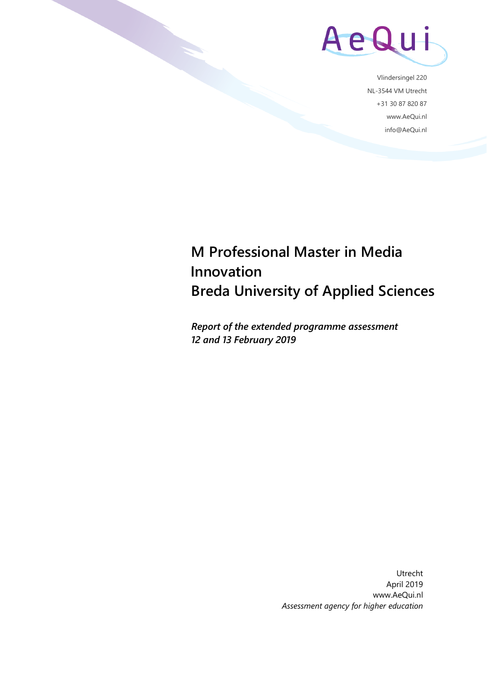

Vlindersingel 220 NL-3544 VM Utrecht +31 30 87 820 87 www.AeQui.nl info@AeQui.nl

# **M Professional Master in Media Innovation Breda University of Applied Sciences**

*Report of the extended programme assessment 12 and 13 February 2019*

> Utrecht April 2019 www.AeQui.nl *Assessment agency for higher education*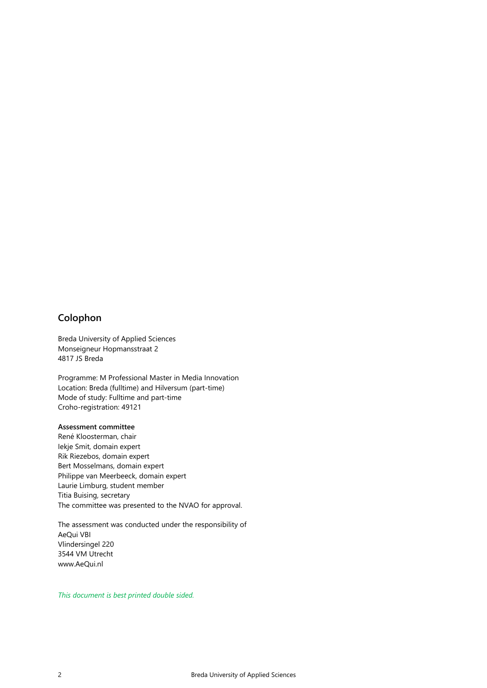# <span id="page-1-0"></span>**Colophon**

Breda University of Applied Sciences Monseigneur Hopmansstraat 2 4817 JS Breda

Programme: M Professional Master in Media Innovation Location: Breda (fulltime) and Hilversum (part-time) Mode of study: Fulltime and part-time Croho-registration: 49121

#### **Assessment committee**

René Kloosterman, chair Iekje Smit, domain expert Rik Riezebos, domain expert Bert Mosselmans, domain expert Philippe van Meerbeeck, domain expert Laurie Limburg, student member Titia Buising, secretary The committee was presented to the NVAO for approval.

The assessment was conducted under the responsibility of AeQui VBI Vlindersingel 220 3544 VM Utrecht www.AeQui.nl

*This document is best printed double sided.*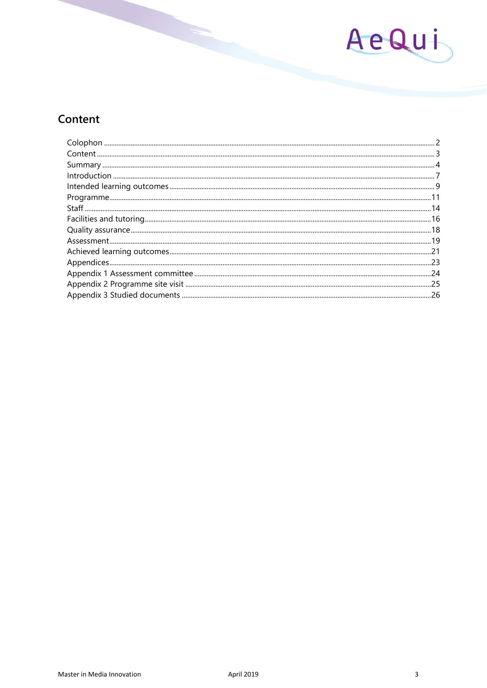

# <span id="page-2-0"></span>Content

| .26 |
|-----|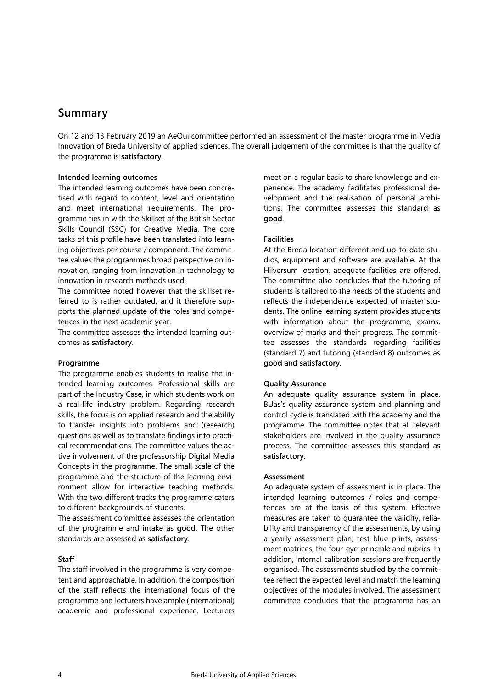# <span id="page-3-0"></span>**Summary**

On 12 and 13 February 2019 an AeQui committee performed an assessment of the master programme in Media Innovation of Breda University of applied sciences. The overall judgement of the committee is that the quality of the programme is **satisfactory**.

## **Intended learning outcomes**

The intended learning outcomes have been concretised with regard to content, level and orientation and meet international requirements. The programme ties in with the Skillset of the British Sector Skills Council (SSC) for Creative Media. The core tasks of this profile have been translated into learning objectives per course / component. The committee values the programmes broad perspective on innovation, ranging from innovation in technology to innovation in research methods used.

The committee noted however that the skillset referred to is rather outdated, and it therefore supports the planned update of the roles and competences in the next academic year.

The committee assesses the intended learning outcomes as **satisfactory**.

#### **Programme**

The programme enables students to realise the intended learning outcomes. Professional skills are part of the Industry Case, in which students work on a real-life industry problem. Regarding research skills, the focus is on applied research and the ability to transfer insights into problems and (research) questions as well as to translate findings into practical recommendations. The committee values the active involvement of the professorship Digital Media Concepts in the programme. The small scale of the programme and the structure of the learning environment allow for interactive teaching methods. With the two different tracks the programme caters to different backgrounds of students.

The assessment committee assesses the orientation of the programme and intake as **good**. The other standards are assessed as **satisfactory**.

# **Staff**

The staff involved in the programme is very competent and approachable. In addition, the composition of the staff reflects the international focus of the programme and lecturers have ample (international) academic and professional experience. Lecturers

meet on a regular basis to share knowledge and experience. The academy facilitates professional development and the realisation of personal ambitions. The committee assesses this standard as **good**.

## **Facilities**

At the Breda location different and up-to-date studios, equipment and software are available. At the Hilversum location, adequate facilities are offered. The committee also concludes that the tutoring of students is tailored to the needs of the students and reflects the independence expected of master students. The online learning system provides students with information about the programme, exams, overview of marks and their progress. The committee assesses the standards regarding facilities (standard 7) and tutoring (standard 8) outcomes as **good** and **satisfactory**.

# **Quality Assurance**

An adequate quality assurance system in place. BUas's quality assurance system and planning and control cycle is translated with the academy and the programme. The committee notes that all relevant stakeholders are involved in the quality assurance process. The committee assesses this standard as **satisfactory**.

#### **Assessment**

An adequate system of assessment is in place. The intended learning outcomes / roles and competences are at the basis of this system. Effective measures are taken to guarantee the validity, reliability and transparency of the assessments, by using a yearly assessment plan, test blue prints, assessment matrices, the four-eye-principle and rubrics. In addition, internal calibration sessions are frequently organised. The assessments studied by the committee reflect the expected level and match the learning objectives of the modules involved. The assessment committee concludes that the programme has an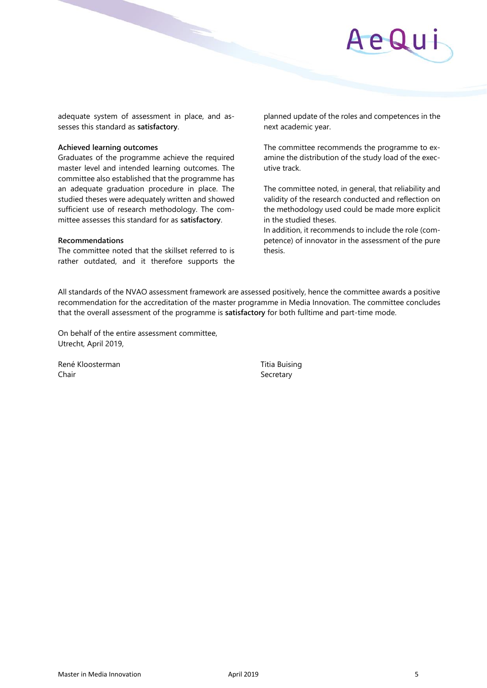

adequate system of assessment in place, and assesses this standard as **satisfactory**.

#### **Achieved learning outcomes**

Graduates of the programme achieve the required master level and intended learning outcomes. The committee also established that the programme has an adequate graduation procedure in place. The studied theses were adequately written and showed sufficient use of research methodology. The committee assesses this standard for as **satisfactory**.

#### **Recommendations**

The committee noted that the skillset referred to is rather outdated, and it therefore supports the

planned update of the roles and competences in the next academic year.

The committee recommends the programme to examine the distribution of the study load of the executive track.

The committee noted, in general, that reliability and validity of the research conducted and reflection on the methodology used could be made more explicit in the studied theses.

In addition, it recommends to include the role (competence) of innovator in the assessment of the pure thesis.

All standards of the NVAO assessment framework are assessed positively, hence the committee awards a positive recommendation for the accreditation of the master programme in Media Innovation. The committee concludes that the overall assessment of the programme is **satisfactory** for both fulltime and part-time mode.

On behalf of the entire assessment committee, Utrecht, April 2019,

René Kloosterman Titia Buising Chair **Secretary** Secretary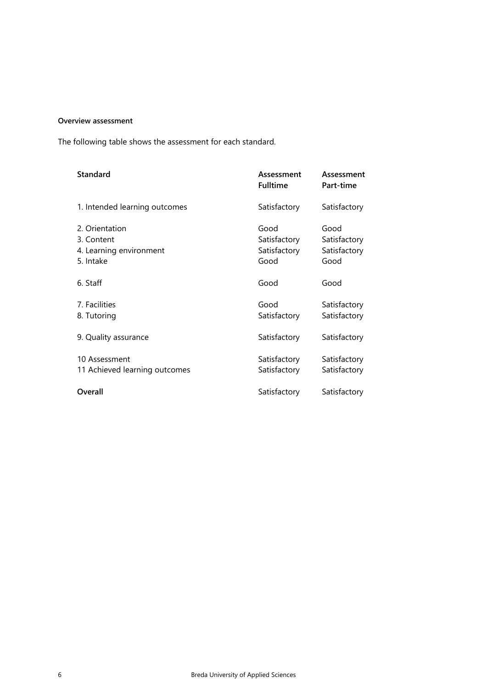# **Overview assessment**

The following table shows the assessment for each standard.

| <b>Standard</b>                                                      | Assessment<br><b>Fulltime</b>                | Assessment<br>Part-time                      |
|----------------------------------------------------------------------|----------------------------------------------|----------------------------------------------|
| 1. Intended learning outcomes                                        | Satisfactory                                 | Satisfactory                                 |
| 2. Orientation<br>3. Content<br>4. Learning environment<br>5. Intake | Good<br>Satisfactory<br>Satisfactory<br>Good | Good<br>Satisfactory<br>Satisfactory<br>Good |
| 6. Staff                                                             | Good                                         | Good                                         |
| 7. Facilities<br>8. Tutoring                                         | Good<br>Satisfactory                         | Satisfactory<br>Satisfactory                 |
| 9. Quality assurance                                                 | Satisfactory                                 | Satisfactory                                 |
| 10 Assessment<br>11 Achieved learning outcomes                       | Satisfactory<br>Satisfactory                 | Satisfactory<br>Satisfactory                 |
| Overall                                                              | Satisfactory                                 | Satisfactory                                 |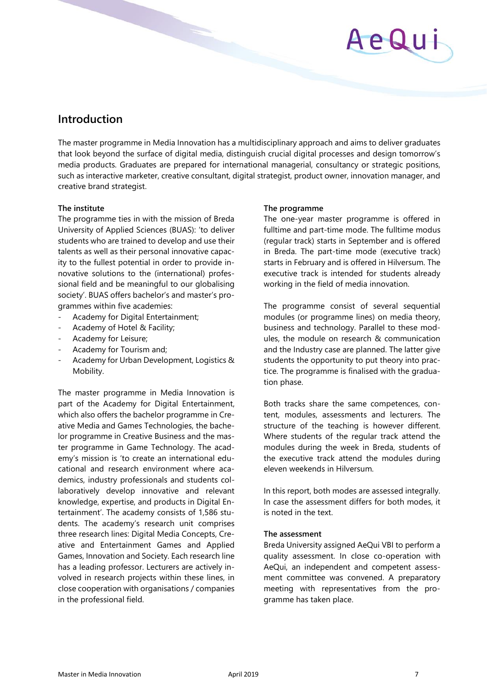# AeQui

# <span id="page-6-0"></span>**Introduction**

The master programme in Media Innovation has a multidisciplinary approach and aims to deliver graduates that look beyond the surface of digital media, distinguish crucial digital processes and design tomorrow's media products. Graduates are prepared for international managerial, consultancy or strategic positions, such as interactive marketer, creative consultant, digital strategist, product owner, innovation manager, and creative brand strategist.

# **The institute**

The programme ties in with the mission of Breda University of Applied Sciences (BUAS): 'to deliver students who are trained to develop and use their talents as well as their personal innovative capacity to the fullest potential in order to provide innovative solutions to the (international) professional field and be meaningful to our globalising society'. BUAS offers bachelor's and master's programmes within five academies:

- Academy for Digital Entertainment;
- Academy of Hotel & Facility;
- Academy for Leisure;
- Academy for Tourism and;
- Academy for Urban Development, Logistics & Mobility.

The master programme in Media Innovation is part of the Academy for Digital Entertainment, which also offers the bachelor programme in Creative Media and Games Technologies, the bachelor programme in Creative Business and the master programme in Game Technology. The academy's mission is 'to create an international educational and research environment where academics, industry professionals and students collaboratively develop innovative and relevant knowledge, expertise, and products in Digital Entertainment'. The academy consists of 1,586 students. The academy's research unit comprises three research lines: Digital Media Concepts, Creative and Entertainment Games and Applied Games, Innovation and Society. Each research line has a leading professor. Lecturers are actively involved in research projects within these lines, in close cooperation with organisations / companies in the professional field.

# **The programme**

The one-year master programme is offered in fulltime and part-time mode. The fulltime modus (regular track) starts in September and is offered in Breda. The part-time mode (executive track) starts in February and is offered in Hilversum. The executive track is intended for students already working in the field of media innovation.

The programme consist of several sequential modules (or programme lines) on media theory, business and technology. Parallel to these modules, the module on research & communication and the Industry case are planned. The latter give students the opportunity to put theory into practice. The programme is finalised with the graduation phase.

Both tracks share the same competences, content, modules, assessments and lecturers. The structure of the teaching is however different. Where students of the regular track attend the modules during the week in Breda, students of the executive track attend the modules during eleven weekends in Hilversum.

In this report, both modes are assessed integrally. In case the assessment differs for both modes, it is noted in the text.

# **The assessment**

Breda University assigned AeQui VBI to perform a quality assessment. In close co-operation with AeQui, an independent and competent assessment committee was convened. A preparatory meeting with representatives from the programme has taken place.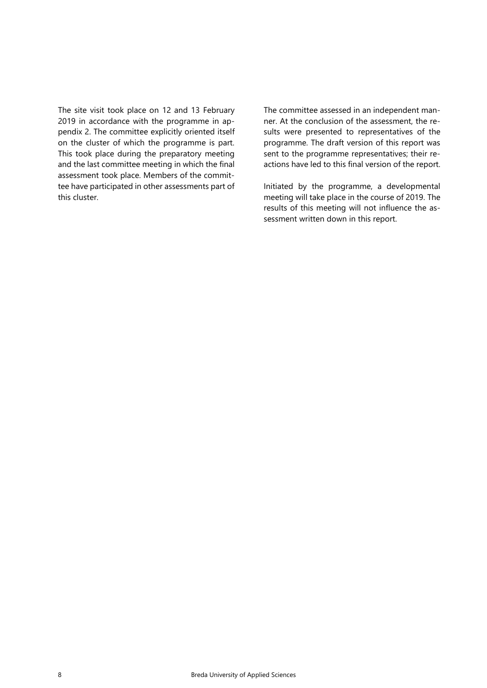The site visit took place on 12 and 13 February 2019 in accordance with the programme in appendix 2. The committee explicitly oriented itself on the cluster of which the programme is part. This took place during the preparatory meeting and the last committee meeting in which the final assessment took place. Members of the committee have participated in other assessments part of this cluster.

The committee assessed in an independent manner. At the conclusion of the assessment, the results were presented to representatives of the programme. The draft version of this report was sent to the programme representatives; their reactions have led to this final version of the report.

Initiated by the programme, a developmental meeting will take place in the course of 2019. The results of this meeting will not influence the assessment written down in this report.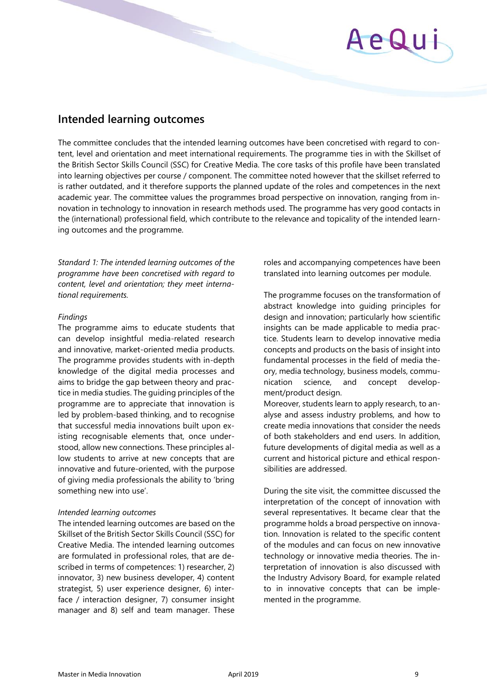# AeQu

# <span id="page-8-0"></span>**Intended learning outcomes**

The committee concludes that the intended learning outcomes have been concretised with regard to content, level and orientation and meet international requirements. The programme ties in with the Skillset of the British Sector Skills Council (SSC) for Creative Media. The core tasks of this profile have been translated into learning objectives per course / component. The committee noted however that the skillset referred to is rather outdated, and it therefore supports the planned update of the roles and competences in the next academic year. The committee values the programmes broad perspective on innovation, ranging from innovation in technology to innovation in research methods used. The programme has very good contacts in the (international) professional field, which contribute to the relevance and topicality of the intended learning outcomes and the programme.

*Standard 1: The intended learning outcomes of the programme have been concretised with regard to content, level and orientation; they meet international requirements.*

# *Findings*

The programme aims to educate students that can develop insightful media-related research and innovative, market-oriented media products. The programme provides students with in-depth knowledge of the digital media processes and aims to bridge the gap between theory and practice in media studies. The guiding principles of the programme are to appreciate that innovation is led by problem-based thinking, and to recognise that successful media innovations built upon existing recognisable elements that, once understood, allow new connections. These principles allow students to arrive at new concepts that are innovative and future-oriented, with the purpose of giving media professionals the ability to 'bring something new into use'.

# *Intended learning outcomes*

The intended learning outcomes are based on the Skillset of the British Sector Skills Council (SSC) for Creative Media. The intended learning outcomes are formulated in professional roles, that are described in terms of competences: 1) researcher, 2) innovator, 3) new business developer, 4) content strategist, 5) user experience designer, 6) interface / interaction designer, 7) consumer insight manager and 8) self and team manager. These

roles and accompanying competences have been translated into learning outcomes per module.

The programme focuses on the transformation of abstract knowledge into guiding principles for design and innovation; particularly how scientific insights can be made applicable to media practice. Students learn to develop innovative media concepts and products on the basis of insight into fundamental processes in the field of media theory, media technology, business models, communication science, and concept development/product design.

Moreover, students learn to apply research, to analyse and assess industry problems, and how to create media innovations that consider the needs of both stakeholders and end users. In addition, future developments of digital media as well as a current and historical picture and ethical responsibilities are addressed.

During the site visit, the committee discussed the interpretation of the concept of innovation with several representatives. It became clear that the programme holds a broad perspective on innovation. Innovation is related to the specific content of the modules and can focus on new innovative technology or innovative media theories. The interpretation of innovation is also discussed with the Industry Advisory Board, for example related to in innovative concepts that can be implemented in the programme.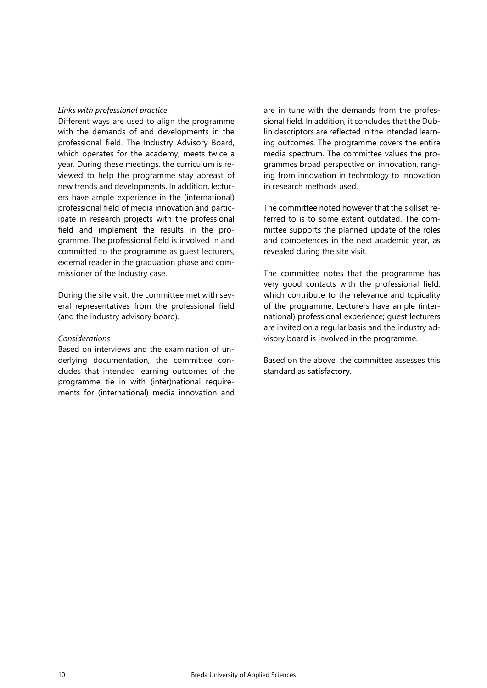#### *Links with professional practice*

Different ways are used to align the programme with the demands of and developments in the professional field. The Industry Advisory Board, which operates for the academy, meets twice a year. During these meetings, the curriculum is reviewed to help the programme stay abreast of new trends and developments. In addition, lecturers have ample experience in the (international) professional field of media innovation and participate in research projects with the professional field and implement the results in the programme. The professional field is involved in and committed to the programme as guest lecturers, external reader in the graduation phase and commissioner of the Industry case.

During the site visit, the committee met with several representatives from the professional field (and the industry advisory board).

## *Considerations*

Based on interviews and the examination of underlying documentation, the committee concludes that intended learning outcomes of the programme tie in with (inter)national requirements for (international) media innovation and are in tune with the demands from the professional field. In addition, it concludes that the Dublin descriptors are reflected in the intended learning outcomes. The programme covers the entire media spectrum. The committee values the programmes broad perspective on innovation, ranging from innovation in technology to innovation in research methods used.

The committee noted however that the skillset referred to is to some extent outdated. The committee supports the planned update of the roles and competences in the next academic year, as revealed during the site visit.

The committee notes that the programme has very good contacts with the professional field, which contribute to the relevance and topicality of the programme. Lecturers have ample (international) professional experience; guest lecturers are invited on a regular basis and the industry advisory board is involved in the programme.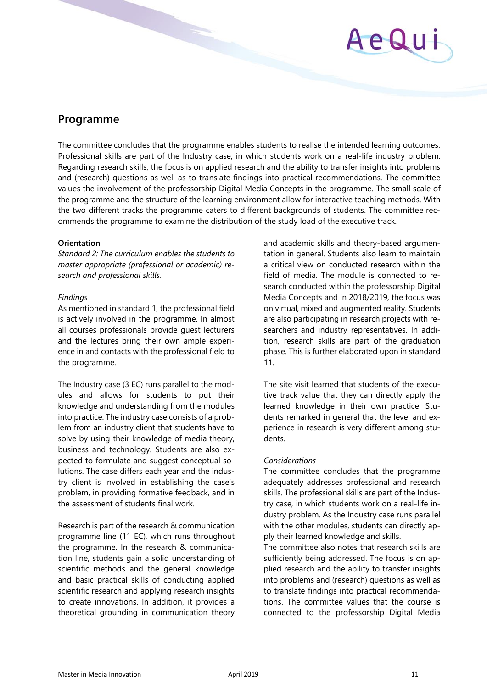

# <span id="page-10-0"></span>**Programme**

The committee concludes that the programme enables students to realise the intended learning outcomes. Professional skills are part of the Industry case, in which students work on a real-life industry problem. Regarding research skills, the focus is on applied research and the ability to transfer insights into problems and (research) questions as well as to translate findings into practical recommendations. The committee values the involvement of the professorship Digital Media Concepts in the programme. The small scale of the programme and the structure of the learning environment allow for interactive teaching methods. With the two different tracks the programme caters to different backgrounds of students. The committee recommends the programme to examine the distribution of the study load of the executive track.

# **Orientation**

*Standard 2: The curriculum enables the students to master appropriate (professional or academic) research and professional skills.* 

## *Findings*

As mentioned in standard 1, the professional field is actively involved in the programme. In almost all courses professionals provide guest lecturers and the lectures bring their own ample experience in and contacts with the professional field to the programme.

The Industry case (3 EC) runs parallel to the modules and allows for students to put their knowledge and understanding from the modules into practice. The industry case consists of a problem from an industry client that students have to solve by using their knowledge of media theory, business and technology. Students are also expected to formulate and suggest conceptual solutions. The case differs each year and the industry client is involved in establishing the case's problem, in providing formative feedback, and in the assessment of students final work.

Research is part of the research & communication programme line (11 EC), which runs throughout the programme. In the research & communication line, students gain a solid understanding of scientific methods and the general knowledge and basic practical skills of conducting applied scientific research and applying research insights to create innovations. In addition, it provides a theoretical grounding in communication theory and academic skills and theory-based argumentation in general. Students also learn to maintain a critical view on conducted research within the field of media. The module is connected to research conducted within the professorship Digital Media Concepts and in 2018/2019, the focus was on virtual, mixed and augmented reality. Students are also participating in research projects with researchers and industry representatives. In addition, research skills are part of the graduation phase. This is further elaborated upon in standard 11.

The site visit learned that students of the executive track value that they can directly apply the learned knowledge in their own practice. Students remarked in general that the level and experience in research is very different among students.

# *Considerations*

The committee concludes that the programme adequately addresses professional and research skills. The professional skills are part of the Industry case, in which students work on a real-life industry problem. As the Industry case runs parallel with the other modules, students can directly apply their learned knowledge and skills.

The committee also notes that research skills are sufficiently being addressed. The focus is on applied research and the ability to transfer insights into problems and (research) questions as well as to translate findings into practical recommendations. The committee values that the course is connected to the professorship Digital Media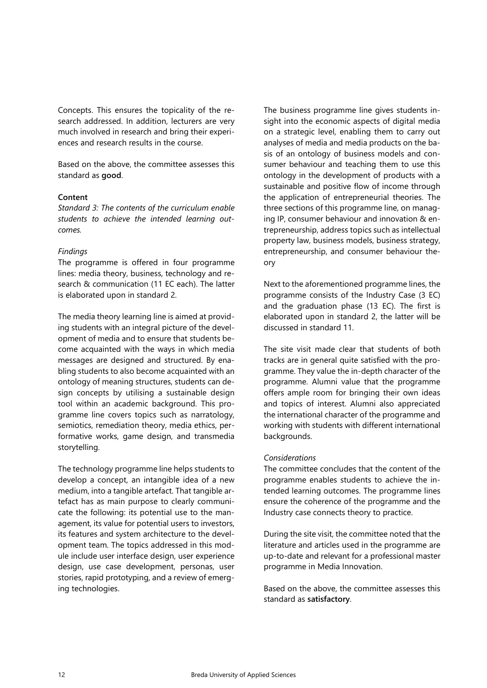Concepts. This ensures the topicality of the research addressed. In addition, lecturers are very much involved in research and bring their experiences and research results in the course.

Based on the above, the committee assesses this standard as **good**.

#### **Content**

*Standard 3: The contents of the curriculum enable students to achieve the intended learning outcomes.* 

# *Findings*

The programme is offered in four programme lines: media theory, business, technology and research & communication (11 EC each). The latter is elaborated upon in standard 2.

The media theory learning line is aimed at providing students with an integral picture of the development of media and to ensure that students become acquainted with the ways in which media messages are designed and structured. By enabling students to also become acquainted with an ontology of meaning structures, students can design concepts by utilising a sustainable design tool within an academic background. This programme line covers topics such as narratology, semiotics, remediation theory, media ethics, performative works, game design, and transmedia storytelling.

The technology programme line helps students to develop a concept, an intangible idea of a new medium, into a tangible artefact. That tangible artefact has as main purpose to clearly communicate the following: its potential use to the management, its value for potential users to investors, its features and system architecture to the development team. The topics addressed in this module include user interface design, user experience design, use case development, personas, user stories, rapid prototyping, and a review of emerging technologies.

The business programme line gives students insight into the economic aspects of digital media on a strategic level, enabling them to carry out analyses of media and media products on the basis of an ontology of business models and consumer behaviour and teaching them to use this ontology in the development of products with a sustainable and positive flow of income through the application of entrepreneurial theories. The three sections of this programme line, on managing IP, consumer behaviour and innovation & entrepreneurship, address topics such as intellectual property law, business models, business strategy, entrepreneurship, and consumer behaviour theory

Next to the aforementioned programme lines, the programme consists of the Industry Case (3 EC) and the graduation phase (13 EC). The first is elaborated upon in standard 2, the latter will be discussed in standard 11.

The site visit made clear that students of both tracks are in general quite satisfied with the programme. They value the in-depth character of the programme. Alumni value that the programme offers ample room for bringing their own ideas and topics of interest. Alumni also appreciated the international character of the programme and working with students with different international backgrounds.

# *Considerations*

The committee concludes that the content of the programme enables students to achieve the intended learning outcomes. The programme lines ensure the coherence of the programme and the Industry case connects theory to practice.

During the site visit, the committee noted that the literature and articles used in the programme are up-to-date and relevant for a professional master programme in Media Innovation.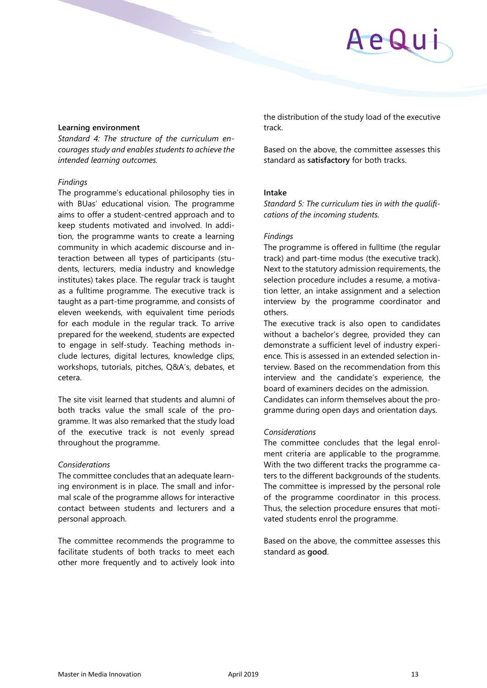# **Learning environment**

*Standard 4: The structure of the curriculum encourages study and enables students to achieve the intended learning outcomes.* 

# *Findings*

The programme's educational philosophy ties in with BUas' educational vision. The programme aims to offer a student-centred approach and to keep students motivated and involved. In addition, the programme wants to create a learning community in which academic discourse and interaction between all types of participants (students, lecturers, media industry and knowledge institutes) takes place. The regular track is taught as a fulltime programme. The executive track is taught as a part-time programme, and consists of eleven weekends, with equivalent time periods for each module in the regular track. To arrive prepared for the weekend, students are expected to engage in self-study. Teaching methods include lectures, digital lectures, knowledge clips, workshops, tutorials, pitches, Q&A's, debates, et cetera.

The site visit learned that students and alumni of both tracks value the small scale of the programme. It was also remarked that the study load of the executive track is not evenly spread throughout the programme.

# *Considerations*

The committee concludes that an adequate learning environment is in place. The small and informal scale of the programme allows for interactive contact between students and lecturers and a personal approach.

The committee recommends the programme to facilitate students of both tracks to meet each other more frequently and to actively look into the distribution of the study load of the executive track.

Based on the above, the committee assesses this standard as **satisfactory** for both tracks.

# **Intake**

*Standard 5: The curriculum ties in with the qualifications of the incoming students.* 

# *Findings*

The programme is offered in fulltime (the regular track) and part-time modus (the executive track). Next to the statutory admission requirements, the selection procedure includes a resume, a motivation letter, an intake assignment and a selection interview by the programme coordinator and others.

The executive track is also open to candidates without a bachelor's degree, provided they can demonstrate a sufficient level of industry experience. This is assessed in an extended selection interview. Based on the recommendation from this interview and the candidate's experience, the board of examiners decides on the admission. Candidates can inform themselves about the pro-

gramme during open days and orientation days.

# *Considerations*

The committee concludes that the legal enrolment criteria are applicable to the programme. With the two different tracks the programme caters to the different backgrounds of the students. The committee is impressed by the personal role of the programme coordinator in this process. Thus, the selection procedure ensures that motivated students enrol the programme.

Based on the above, the committee assesses this standard as **good**.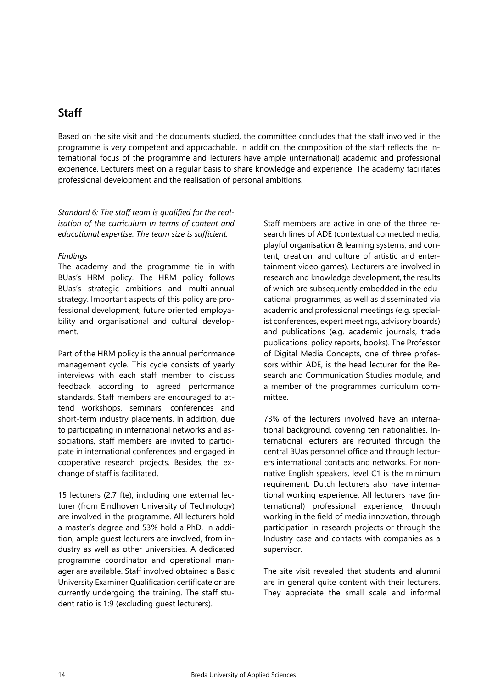# <span id="page-13-0"></span>**Staff**

Based on the site visit and the documents studied, the committee concludes that the staff involved in the programme is very competent and approachable. In addition, the composition of the staff reflects the international focus of the programme and lecturers have ample (international) academic and professional experience. Lecturers meet on a regular basis to share knowledge and experience. The academy facilitates professional development and the realisation of personal ambitions.

*Standard 6: The staff team is qualified for the realisation of the curriculum in terms of content and educational expertise. The team size is sufficient.* 

# *Findings*

The academy and the programme tie in with BUas's HRM policy. The HRM policy follows BUas's strategic ambitions and multi-annual strategy. Important aspects of this policy are professional development, future oriented employability and organisational and cultural development.

Part of the HRM policy is the annual performance management cycle. This cycle consists of yearly interviews with each staff member to discuss feedback according to agreed performance standards. Staff members are encouraged to attend workshops, seminars, conferences and short-term industry placements. In addition, due to participating in international networks and associations, staff members are invited to participate in international conferences and engaged in cooperative research projects. Besides, the exchange of staff is facilitated.

15 lecturers (2.7 fte), including one external lecturer (from Eindhoven University of Technology) are involved in the programme. All lecturers hold a master's degree and 53% hold a PhD. In addition, ample guest lecturers are involved, from industry as well as other universities. A dedicated programme coordinator and operational manager are available. Staff involved obtained a Basic University Examiner Qualification certificate or are currently undergoing the training. The staff student ratio is 1:9 (excluding guest lecturers).

Staff members are active in one of the three research lines of ADE (contextual connected media, playful organisation & learning systems, and content, creation, and culture of artistic and entertainment video games). Lecturers are involved in research and knowledge development, the results of which are subsequently embedded in the educational programmes, as well as disseminated via academic and professional meetings (e.g. specialist conferences, expert meetings, advisory boards) and publications (e.g. academic journals, trade publications, policy reports, books). The Professor of Digital Media Concepts, one of three professors within ADE, is the head lecturer for the Research and Communication Studies module, and a member of the programmes curriculum committee.

73% of the lecturers involved have an international background, covering ten nationalities. International lecturers are recruited through the central BUas personnel office and through lecturers international contacts and networks. For nonnative English speakers, level C1 is the minimum requirement. Dutch lecturers also have international working experience. All lecturers have (international) professional experience, through working in the field of media innovation, through participation in research projects or through the Industry case and contacts with companies as a supervisor.

The site visit revealed that students and alumni are in general quite content with their lecturers. They appreciate the small scale and informal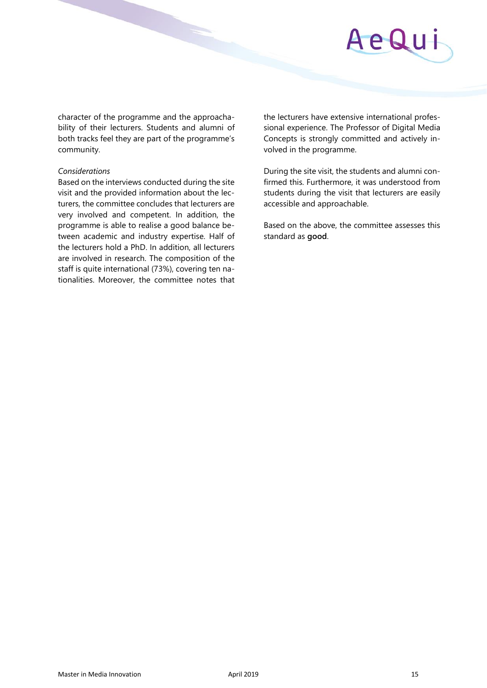# AeQu

character of the programme and the approachability of their lecturers. Students and alumni of both tracks feel they are part of the programme's community.

## *Considerations*

Based on the interviews conducted during the site visit and the provided information about the lecturers, the committee concludes that lecturers are very involved and competent. In addition, the programme is able to realise a good balance between academic and industry expertise. Half of the lecturers hold a PhD. In addition, all lecturers are involved in research. The composition of the staff is quite international (73%), covering ten nationalities. Moreover, the committee notes that

the lecturers have extensive international professional experience. The Professor of Digital Media Concepts is strongly committed and actively involved in the programme.

During the site visit, the students and alumni confirmed this. Furthermore, it was understood from students during the visit that lecturers are easily accessible and approachable.

Based on the above, the committee assesses this standard as **good**.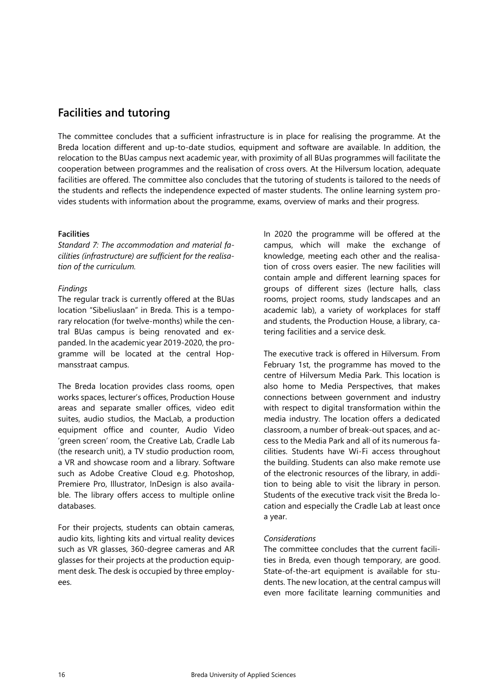# <span id="page-15-0"></span>**Facilities and tutoring**

The committee concludes that a sufficient infrastructure is in place for realising the programme. At the Breda location different and up-to-date studios, equipment and software are available. In addition, the relocation to the BUas campus next academic year, with proximity of all BUas programmes will facilitate the cooperation between programmes and the realisation of cross overs. At the Hilversum location, adequate facilities are offered. The committee also concludes that the tutoring of students is tailored to the needs of the students and reflects the independence expected of master students. The online learning system provides students with information about the programme, exams, overview of marks and their progress.

# **Facilities**

*Standard 7: The accommodation and material facilities (infrastructure) are sufficient for the realisation of the curriculum.* 

# *Findings*

The regular track is currently offered at the BUas location "Sibeliuslaan" in Breda. This is a temporary relocation (for twelve-months) while the central BUas campus is being renovated and expanded. In the academic year 2019-2020, the programme will be located at the central Hopmansstraat campus.

The Breda location provides class rooms, open works spaces, lecturer's offices, Production House areas and separate smaller offices, video edit suites, audio studios, the MacLab, a production equipment office and counter, Audio Video 'green screen' room, the Creative Lab, Cradle Lab (the research unit), a TV studio production room, a VR and showcase room and a library. Software such as Adobe Creative Cloud e.g. Photoshop, Premiere Pro, Illustrator, InDesign is also available. The library offers access to multiple online databases.

For their projects, students can obtain cameras, audio kits, lighting kits and virtual reality devices such as VR glasses, 360-degree cameras and AR glasses for their projects at the production equipment desk. The desk is occupied by three employees.

In 2020 the programme will be offered at the campus, which will make the exchange of knowledge, meeting each other and the realisation of cross overs easier. The new facilities will contain ample and different learning spaces for groups of different sizes (lecture halls, class rooms, project rooms, study landscapes and an academic lab), a variety of workplaces for staff and students, the Production House, a library, catering facilities and a service desk.

The executive track is offered in Hilversum. From February 1st, the programme has moved to the centre of Hilversum Media Park. This location is also home to Media Perspectives, that makes connections between government and industry with respect to digital transformation within the media industry. The location offers a dedicated classroom, a number of break-out spaces, and access to the Media Park and all of its numerous facilities. Students have Wi-Fi access throughout the building. Students can also make remote use of the electronic resources of the library, in addition to being able to visit the library in person. Students of the executive track visit the Breda location and especially the Cradle Lab at least once a year.

# *Considerations*

The committee concludes that the current facilities in Breda, even though temporary, are good. State-of-the-art equipment is available for students. The new location, at the central campus will even more facilitate learning communities and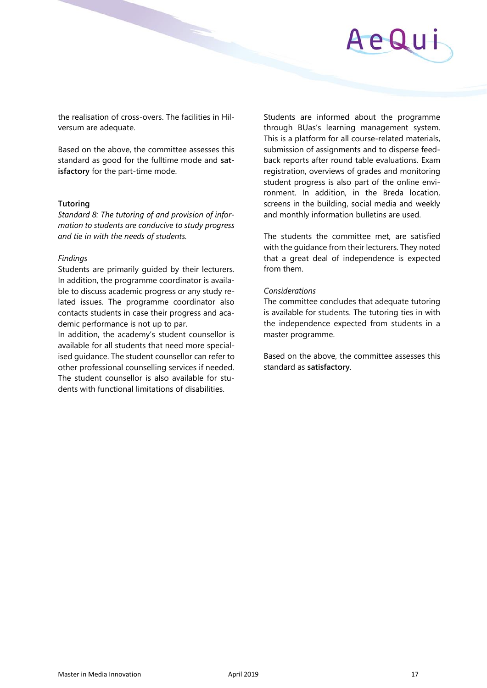the realisation of cross-overs. The facilities in Hilversum are adequate.

Based on the above, the committee assesses this standard as good for the fulltime mode and **satisfactory** for the part-time mode.

#### **Tutoring**

*Standard 8: The tutoring of and provision of information to students are conducive to study progress and tie in with the needs of students.* 

## *Findings*

Students are primarily guided by their lecturers. In addition, the programme coordinator is available to discuss academic progress or any study related issues. The programme coordinator also contacts students in case their progress and academic performance is not up to par.

In addition, the academy's student counsellor is available for all students that need more specialised guidance. The student counsellor can refer to other professional counselling services if needed. The student counsellor is also available for students with functional limitations of disabilities.

Students are informed about the programme through BUas's learning management system. This is a platform for all course-related materials, submission of assignments and to disperse feedback reports after round table evaluations. Exam registration, overviews of grades and monitoring student progress is also part of the online environment. In addition, in the Breda location, screens in the building, social media and weekly and monthly information bulletins are used.

The students the committee met, are satisfied with the guidance from their lecturers. They noted that a great deal of independence is expected from them.

## *Considerations*

The committee concludes that adequate tutoring is available for students. The tutoring ties in with the independence expected from students in a master programme.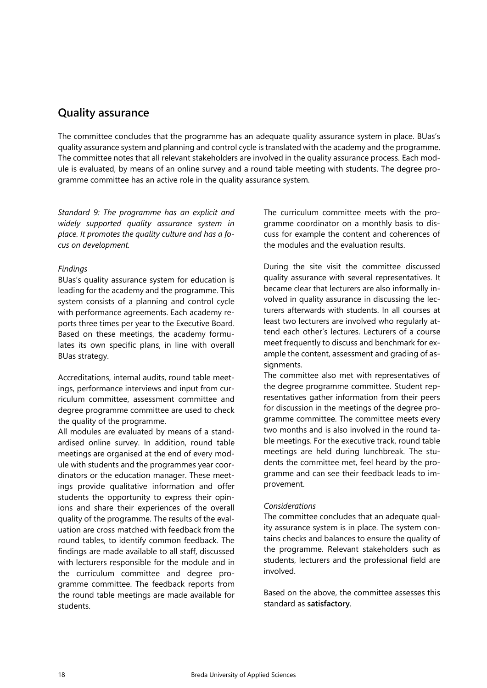# <span id="page-17-0"></span>**Quality assurance**

The committee concludes that the programme has an adequate quality assurance system in place. BUas's quality assurance system and planning and control cycle is translated with the academy and the programme. The committee notes that all relevant stakeholders are involved in the quality assurance process. Each module is evaluated, by means of an online survey and a round table meeting with students. The degree programme committee has an active role in the quality assurance system.

*Standard 9: The programme has an explicit and widely supported quality assurance system in place. It promotes the quality culture and has a focus on development.* 

# *Findings*

BUas's quality assurance system for education is leading for the academy and the programme. This system consists of a planning and control cycle with performance agreements. Each academy reports three times per year to the Executive Board. Based on these meetings, the academy formulates its own specific plans, in line with overall BUas strategy.

Accreditations, internal audits, round table meetings, performance interviews and input from curriculum committee, assessment committee and degree programme committee are used to check the quality of the programme.

All modules are evaluated by means of a standardised online survey. In addition, round table meetings are organised at the end of every module with students and the programmes year coordinators or the education manager. These meetings provide qualitative information and offer students the opportunity to express their opinions and share their experiences of the overall quality of the programme. The results of the evaluation are cross matched with feedback from the round tables, to identify common feedback. The findings are made available to all staff, discussed with lecturers responsible for the module and in the curriculum committee and degree programme committee. The feedback reports from the round table meetings are made available for students.

The curriculum committee meets with the programme coordinator on a monthly basis to discuss for example the content and coherences of the modules and the evaluation results.

During the site visit the committee discussed quality assurance with several representatives. It became clear that lecturers are also informally involved in quality assurance in discussing the lecturers afterwards with students. In all courses at least two lecturers are involved who regularly attend each other's lectures. Lecturers of a course meet frequently to discuss and benchmark for example the content, assessment and grading of assignments.

The committee also met with representatives of the degree programme committee. Student representatives gather information from their peers for discussion in the meetings of the degree programme committee. The committee meets every two months and is also involved in the round table meetings. For the executive track, round table meetings are held during lunchbreak. The students the committee met, feel heard by the programme and can see their feedback leads to improvement.

# *Considerations*

The committee concludes that an adequate quality assurance system is in place. The system contains checks and balances to ensure the quality of the programme. Relevant stakeholders such as students, lecturers and the professional field are involved.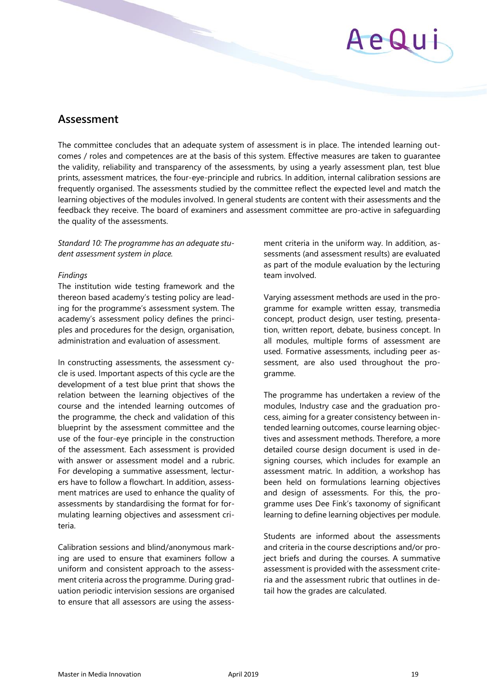

# <span id="page-18-0"></span>**Assessment**

The committee concludes that an adequate system of assessment is in place. The intended learning outcomes / roles and competences are at the basis of this system. Effective measures are taken to guarantee the validity, reliability and transparency of the assessments, by using a yearly assessment plan, test blue prints, assessment matrices, the four-eye-principle and rubrics. In addition, internal calibration sessions are frequently organised. The assessments studied by the committee reflect the expected level and match the learning objectives of the modules involved. In general students are content with their assessments and the feedback they receive. The board of examiners and assessment committee are pro-active in safeguarding the quality of the assessments.

*Standard 10: The programme has an adequate student assessment system in place.* 

## *Findings*

The institution wide testing framework and the thereon based academy's testing policy are leading for the programme's assessment system. The academy's assessment policy defines the principles and procedures for the design, organisation, administration and evaluation of assessment.

In constructing assessments, the assessment cycle is used. Important aspects of this cycle are the development of a test blue print that shows the relation between the learning objectives of the course and the intended learning outcomes of the programme, the check and validation of this blueprint by the assessment committee and the use of the four-eye principle in the construction of the assessment. Each assessment is provided with answer or assessment model and a rubric. For developing a summative assessment, lecturers have to follow a flowchart. In addition, assessment matrices are used to enhance the quality of assessments by standardising the format for formulating learning objectives and assessment criteria.

Calibration sessions and blind/anonymous marking are used to ensure that examiners follow a uniform and consistent approach to the assessment criteria across the programme. During graduation periodic intervision sessions are organised to ensure that all assessors are using the assess-

ment criteria in the uniform way. In addition, assessments (and assessment results) are evaluated as part of the module evaluation by the lecturing team involved.

Varying assessment methods are used in the programme for example written essay, transmedia concept, product design, user testing, presentation, written report, debate, business concept. In all modules, multiple forms of assessment are used. Formative assessments, including peer assessment, are also used throughout the programme.

The programme has undertaken a review of the modules, Industry case and the graduation process, aiming for a greater consistency between intended learning outcomes, course learning objectives and assessment methods. Therefore, a more detailed course design document is used in designing courses, which includes for example an assessment matric. In addition, a workshop has been held on formulations learning objectives and design of assessments. For this, the programme uses Dee Fink's taxonomy of significant learning to define learning objectives per module.

Students are informed about the assessments and criteria in the course descriptions and/or project briefs and during the courses. A summative assessment is provided with the assessment criteria and the assessment rubric that outlines in detail how the grades are calculated.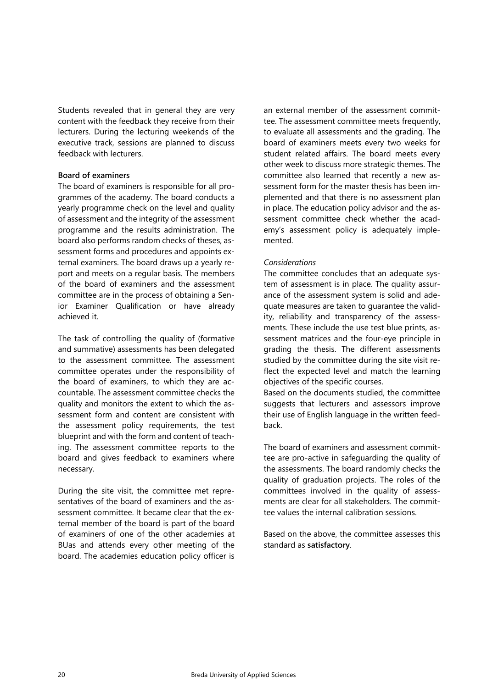Students revealed that in general they are very content with the feedback they receive from their lecturers. During the lecturing weekends of the executive track, sessions are planned to discuss feedback with lecturers.

# **Board of examiners**

The board of examiners is responsible for all programmes of the academy. The board conducts a yearly programme check on the level and quality of assessment and the integrity of the assessment programme and the results administration. The board also performs random checks of theses, assessment forms and procedures and appoints external examiners. The board draws up a yearly report and meets on a regular basis. The members of the board of examiners and the assessment committee are in the process of obtaining a Senior Examiner Qualification or have already achieved it.

The task of controlling the quality of (formative and summative) assessments has been delegated to the assessment committee. The assessment committee operates under the responsibility of the board of examiners, to which they are accountable. The assessment committee checks the quality and monitors the extent to which the assessment form and content are consistent with the assessment policy requirements, the test blueprint and with the form and content of teaching. The assessment committee reports to the board and gives feedback to examiners where necessary.

During the site visit, the committee met representatives of the board of examiners and the assessment committee. It became clear that the external member of the board is part of the board of examiners of one of the other academies at BUas and attends every other meeting of the board. The academies education policy officer is

an external member of the assessment committee. The assessment committee meets frequently, to evaluate all assessments and the grading. The board of examiners meets every two weeks for student related affairs. The board meets every other week to discuss more strategic themes. The committee also learned that recently a new assessment form for the master thesis has been implemented and that there is no assessment plan in place. The education policy advisor and the assessment committee check whether the academy's assessment policy is adequately implemented.

# *Considerations*

The committee concludes that an adequate system of assessment is in place. The quality assurance of the assessment system is solid and adequate measures are taken to guarantee the validity, reliability and transparency of the assessments. These include the use test blue prints, assessment matrices and the four-eye principle in grading the thesis. The different assessments studied by the committee during the site visit reflect the expected level and match the learning objectives of the specific courses.

Based on the documents studied, the committee suggests that lecturers and assessors improve their use of English language in the written feedback.

The board of examiners and assessment committee are pro-active in safeguarding the quality of the assessments. The board randomly checks the quality of graduation projects. The roles of the committees involved in the quality of assessments are clear for all stakeholders. The committee values the internal calibration sessions.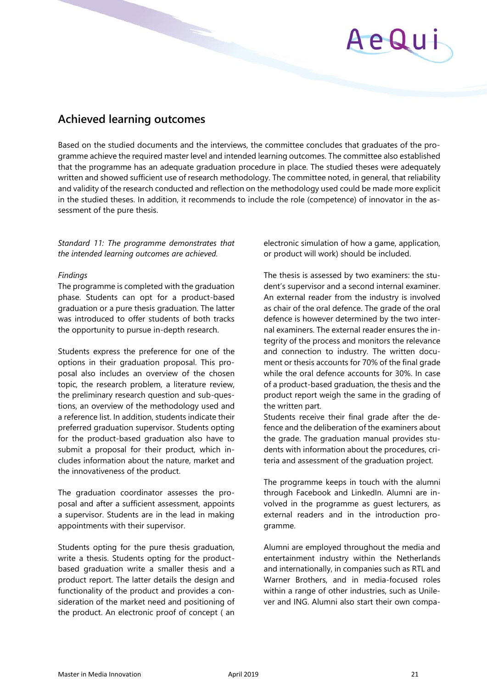# <span id="page-20-0"></span>**Achieved learning outcomes**

Based on the studied documents and the interviews, the committee concludes that graduates of the programme achieve the required master level and intended learning outcomes. The committee also established that the programme has an adequate graduation procedure in place. The studied theses were adequately written and showed sufficient use of research methodology. The committee noted, in general, that reliability and validity of the research conducted and reflection on the methodology used could be made more explicit in the studied theses. In addition, it recommends to include the role (competence) of innovator in the assessment of the pure thesis.

# *Standard 11: The programme demonstrates that the intended learning outcomes are achieved.*

# *Findings*

The programme is completed with the graduation phase. Students can opt for a product-based graduation or a pure thesis graduation. The latter was introduced to offer students of both tracks the opportunity to pursue in-depth research.

Students express the preference for one of the options in their graduation proposal. This proposal also includes an overview of the chosen topic, the research problem, a literature review, the preliminary research question and sub-questions, an overview of the methodology used and a reference list. In addition, students indicate their preferred graduation supervisor. Students opting for the product-based graduation also have to submit a proposal for their product, which includes information about the nature, market and the innovativeness of the product.

The graduation coordinator assesses the proposal and after a sufficient assessment, appoints a supervisor. Students are in the lead in making appointments with their supervisor.

Students opting for the pure thesis graduation, write a thesis. Students opting for the productbased graduation write a smaller thesis and a product report. The latter details the design and functionality of the product and provides a consideration of the market need and positioning of the product. An electronic proof of concept ( an

electronic simulation of how a game, application, or product will work) should be included.

The thesis is assessed by two examiners: the student's supervisor and a second internal examiner. An external reader from the industry is involved as chair of the oral defence. The grade of the oral defence is however determined by the two internal examiners. The external reader ensures the integrity of the process and monitors the relevance and connection to industry. The written document or thesis accounts for 70% of the final grade while the oral defence accounts for 30%. In case of a product-based graduation, the thesis and the product report weigh the same in the grading of the written part.

Students receive their final grade after the defence and the deliberation of the examiners about the grade. The graduation manual provides students with information about the procedures, criteria and assessment of the graduation project.

The programme keeps in touch with the alumni through Facebook and LinkedIn. Alumni are involved in the programme as guest lecturers, as external readers and in the introduction programme.

Alumni are employed throughout the media and entertainment industry within the Netherlands and internationally, in companies such as RTL and Warner Brothers, and in media-focused roles within a range of other industries, such as Unilever and ING. Alumni also start their own compa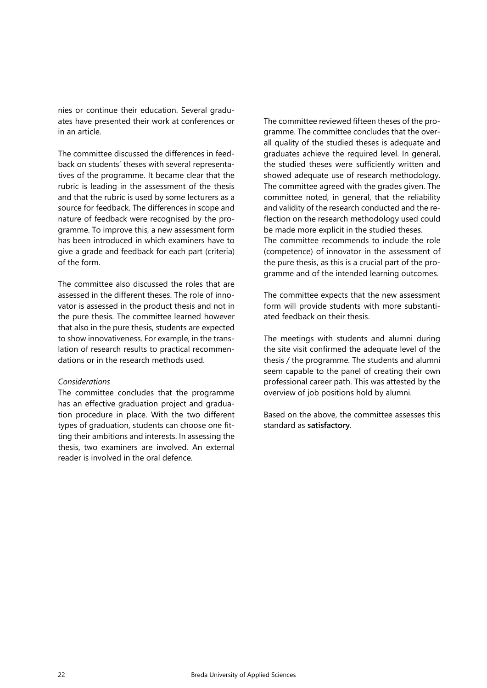nies or continue their education. Several graduates have presented their work at conferences or in an article.

The committee discussed the differences in feedback on students' theses with several representatives of the programme. It became clear that the rubric is leading in the assessment of the thesis and that the rubric is used by some lecturers as a source for feedback. The differences in scope and nature of feedback were recognised by the programme. To improve this, a new assessment form has been introduced in which examiners have to give a grade and feedback for each part (criteria) of the form.

The committee also discussed the roles that are assessed in the different theses. The role of innovator is assessed in the product thesis and not in the pure thesis. The committee learned however that also in the pure thesis, students are expected to show innovativeness. For example, in the translation of research results to practical recommendations or in the research methods used.

## *Considerations*

The committee concludes that the programme has an effective graduation project and graduation procedure in place. With the two different types of graduation, students can choose one fitting their ambitions and interests. In assessing the thesis, two examiners are involved. An external reader is involved in the oral defence.

The committee reviewed fifteen theses of the programme. The committee concludes that the overall quality of the studied theses is adequate and graduates achieve the required level. In general, the studied theses were sufficiently written and showed adequate use of research methodology. The committee agreed with the grades given. The committee noted, in general, that the reliability and validity of the research conducted and the reflection on the research methodology used could be made more explicit in the studied theses. The committee recommends to include the role (competence) of innovator in the assessment of the pure thesis, as this is a crucial part of the programme and of the intended learning outcomes.

The committee expects that the new assessment form will provide students with more substantiated feedback on their thesis.

The meetings with students and alumni during the site visit confirmed the adequate level of the thesis / the programme. The students and alumni seem capable to the panel of creating their own professional career path. This was attested by the overview of job positions hold by alumni.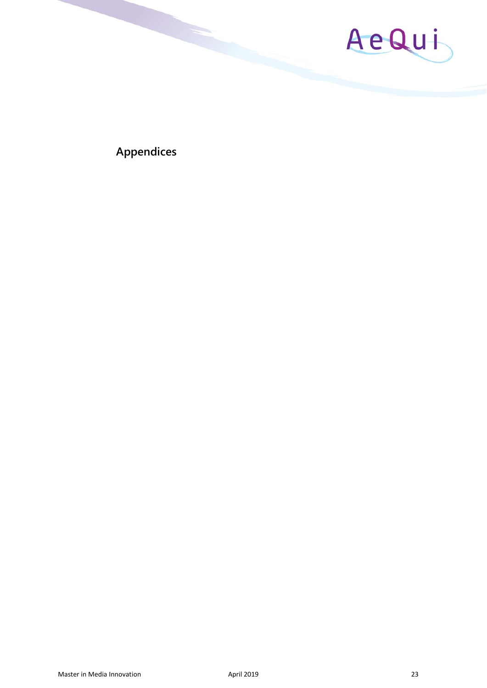

<span id="page-22-0"></span>**Appendices**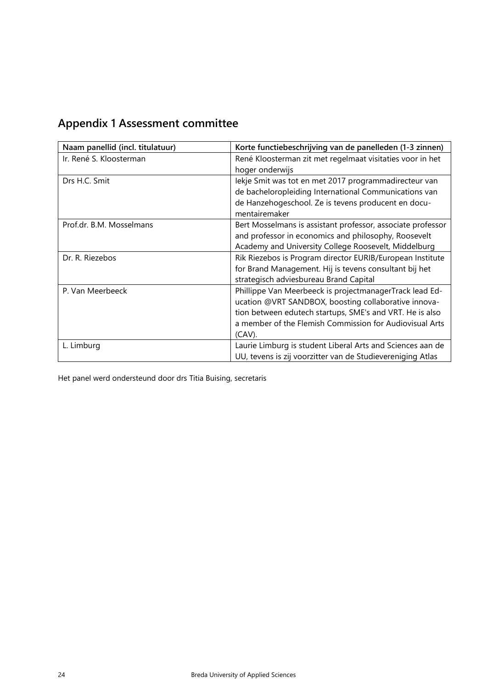<span id="page-23-0"></span>

| <b>Appendix 1 Assessment committee</b> |
|----------------------------------------|
|----------------------------------------|

| Naam panellid (incl. titulatuur) | Korte functiebeschrijving van de panelleden (1-3 zinnen)    |
|----------------------------------|-------------------------------------------------------------|
| Ir. René S. Kloosterman          | René Kloosterman zit met regelmaat visitaties voor in het   |
|                                  | hoger onderwijs                                             |
| Drs H.C. Smit                    | lekje Smit was tot en met 2017 programmadirecteur van       |
|                                  | de bacheloropleiding International Communications van       |
|                                  | de Hanzehogeschool. Ze is tevens producent en docu-         |
|                                  | mentairemaker                                               |
| Prof.dr. B.M. Mosselmans         | Bert Mosselmans is assistant professor, associate professor |
|                                  | and professor in economics and philosophy, Roosevelt        |
|                                  | Academy and University College Roosevelt, Middelburg        |
| Dr. R. Riezebos                  | Rik Riezebos is Program director EURIB/European Institute   |
|                                  | for Brand Management. Hij is tevens consultant bij het      |
|                                  | strategisch adviesbureau Brand Capital                      |
| P. Van Meerbeeck                 | Phillippe Van Meerbeeck is projectmanagerTrack lead Ed-     |
|                                  | ucation @VRT SANDBOX, boosting collaborative innova-        |
|                                  | tion between edutech startups, SME's and VRT. He is also    |
|                                  | a member of the Flemish Commission for Audiovisual Arts     |
|                                  | $(CAV)$ .                                                   |
| L. Limburg                       | Laurie Limburg is student Liberal Arts and Sciences aan de  |
|                                  | UU, tevens is zij voorzitter van de Studievereniging Atlas  |

Het panel werd ondersteund door drs Titia Buising, secretaris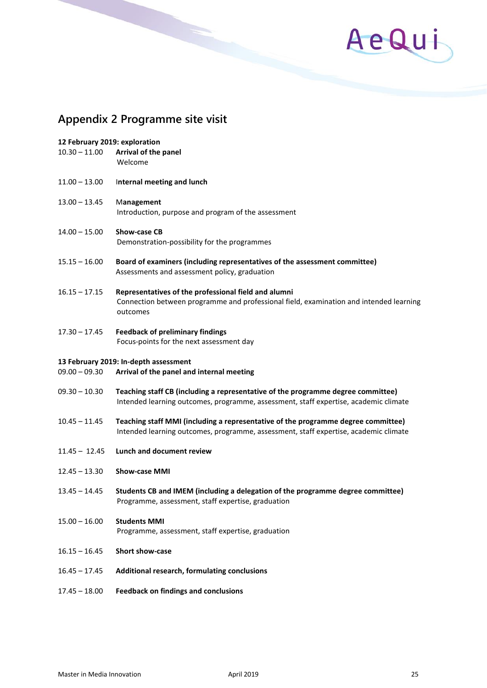

# <span id="page-24-0"></span>**Appendix 2 Programme site visit**

| 12 February 2019: exploration<br>$10.30 - 11.00$ | Arrival of the panel<br>Welcome                                                                                                                                          |  |
|--------------------------------------------------|--------------------------------------------------------------------------------------------------------------------------------------------------------------------------|--|
| $11.00 - 13.00$                                  | Internal meeting and lunch                                                                                                                                               |  |
| $13.00 - 13.45$                                  | Management<br>Introduction, purpose and program of the assessment                                                                                                        |  |
| $14.00 - 15.00$                                  | Show-case CB<br>Demonstration-possibility for the programmes                                                                                                             |  |
| $15.15 - 16.00$                                  | Board of examiners (including representatives of the assessment committee)<br>Assessments and assessment policy, graduation                                              |  |
| $16.15 - 17.15$                                  | Representatives of the professional field and alumni<br>Connection between programme and professional field, examination and intended learning<br>outcomes               |  |
| $17.30 - 17.45$                                  | <b>Feedback of preliminary findings</b><br>Focus-points for the next assessment day                                                                                      |  |
| 13 February 2019: In-depth assessment            |                                                                                                                                                                          |  |
| $09.00 - 09.30$                                  | Arrival of the panel and internal meeting                                                                                                                                |  |
| $09.30 - 10.30$                                  | Teaching staff CB (including a representative of the programme degree committee)<br>Intended learning outcomes, programme, assessment, staff expertise, academic climate |  |
| $10.45 - 11.45$                                  | Teaching staff MMI (including a representative of the programme degree committee)                                                                                        |  |

- Intended learning outcomes, programme, assessment, staff expertise, academic climate
- 11.45 12.45 **Lunch and document review**
- 12.45 13.30 **Show-case MMI**
- 13.45 14.45 **Students CB and IMEM (including a delegation of the programme degree committee)** Programme, assessment, staff expertise, graduation
- 15.00 16.00 **Students MMI** Programme, assessment, staff expertise, graduation
- 16.15 16.45 **Short show-case**
- 16.45 17.45 **Additional research, formulating conclusions**
- 17.45 18.00 **Feedback on findings and conclusions**